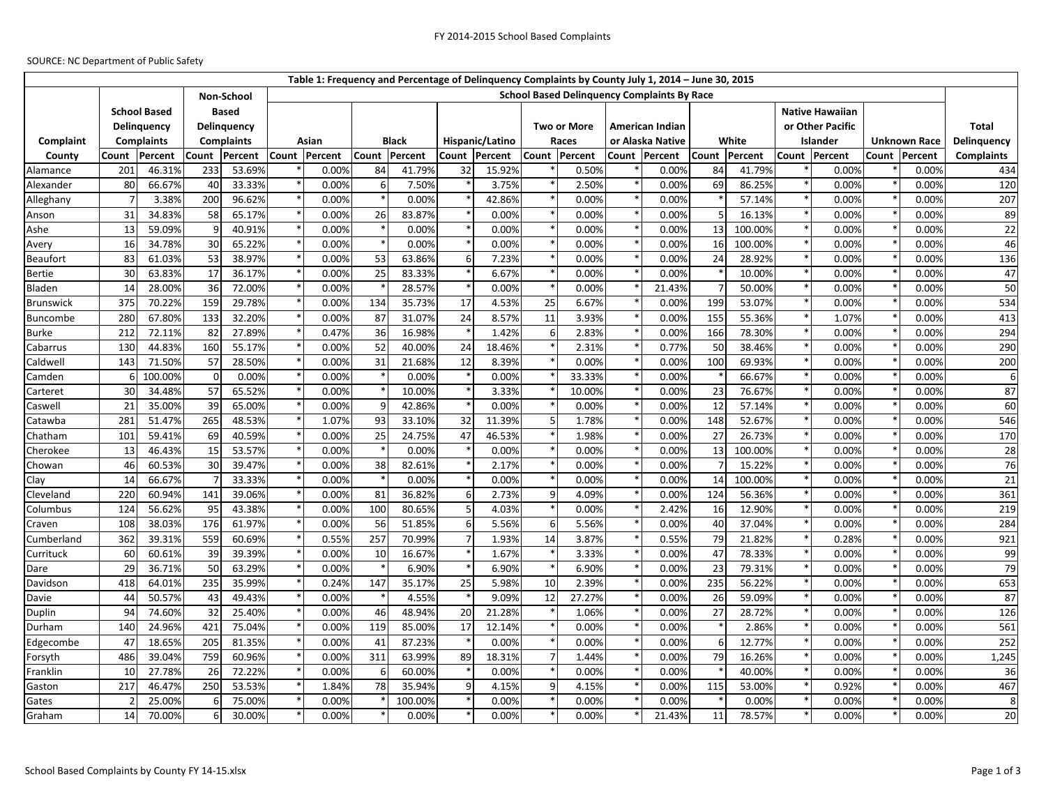## SOURCE: NC Department of Public Safety

|                  |                                    |         |                             |        |       |                |              |               |                 |               |                    |               |                                                    | Table 1: Frequency and Percentage of Delinquency Complaints by County July 1, 2014 - June 30, 2015 |     |               |                        |                  |                     |               |                   |
|------------------|------------------------------------|---------|-----------------------------|--------|-------|----------------|--------------|---------------|-----------------|---------------|--------------------|---------------|----------------------------------------------------|----------------------------------------------------------------------------------------------------|-----|---------------|------------------------|------------------|---------------------|---------------|-------------------|
|                  |                                    |         | Non-School                  |        |       |                |              |               |                 |               |                    |               | <b>School Based Delinquency Complaints By Race</b> |                                                                                                    |     |               |                        |                  |                     |               |                   |
|                  | <b>School Based</b><br>Delinguency |         | <b>Based</b><br>Delinquency |        |       |                |              |               |                 |               |                    |               |                                                    |                                                                                                    |     |               | <b>Native Hawaiian</b> |                  |                     |               |                   |
|                  |                                    |         |                             |        |       |                |              |               |                 |               | <b>Two or More</b> |               |                                                    | <b>American Indian</b>                                                                             |     |               |                        | or Other Pacific |                     |               | <b>Total</b>      |
| Complaint        | <b>Complaints</b>                  |         | <b>Complaints</b>           |        | Asian |                | <b>Black</b> |               | Hispanic/Latino |               | Races              |               | or Alaska Native                                   |                                                                                                    |     | White         |                        | Islander         | <b>Unknown Race</b> |               | Delinquency       |
| County           | Percent<br>Count                   |         | Percent<br>Count            |        |       | Count Percent  |              | Count Percent |                 | Count Percent |                    | Count Percent |                                                    | Count Percent                                                                                      |     | Count Percent |                        | Count Percent    |                     | Count Percent | <b>Complaints</b> |
| Alamance         | 201                                | 46.31%  | 233                         | 53.69% |       | 0.00%          | 84           | 41.79%        | 32              | 15.92%        |                    | 0.50%         |                                                    | 0.00%                                                                                              | 84  | 41.79%        |                        | 0.00%            |                     | 0.00%         | 434               |
| Alexander        | 80                                 | 66.67%  | 40                          | 33.33% |       | 0.00%          | 6            | 7.50%         |                 | 3.75%         |                    | 2.50%         |                                                    | 0.00%                                                                                              | 69  | 86.25%        |                        | 0.00%            |                     | 0.00%         | 120               |
| Alleghany        |                                    | 3.38%   | 200                         | 96.62% |       | 0.00%          |              | 0.00%         |                 | 42.86%        |                    | 0.00%         |                                                    | 0.00%                                                                                              |     | 57.14%        |                        | 0.00%            |                     | 0.00%         | 207               |
| Anson            | 31                                 | 34.83%  | 58                          | 65.17% |       | 0.00%          | 26           | 83.87%        |                 | 0.00%         |                    | 0.00%         |                                                    | 0.00%                                                                                              | 5   | 16.13%        |                        | 0.00%            |                     | 0.00%         | 89                |
| Ashe             | 13                                 | 59.09%  | q                           | 40.91% |       | 0.00%          |              | 0.00%         |                 | 0.00%         |                    | 0.00%         |                                                    | 0.00%                                                                                              | 13  | 100.00%       |                        | 0.00%            |                     | 0.00%         | 22                |
| Avery            | 16                                 | 34.78%  | 30                          | 65.22% |       | 0.00%          |              | 0.00%         |                 | 0.00%         |                    | 0.00%         |                                                    | 0.00%                                                                                              | 16  | 100.00%       |                        | 0.00%            |                     | 0.00%         | 46                |
| <b>Beaufort</b>  | 83                                 | 61.03%  | 53                          | 38.97% |       | 0.00%          | 53           | 63.86%        | 6               | 7.23%         |                    | 0.00%         |                                                    | 0.00%                                                                                              | 24  | 28.92%        |                        | 0.00%            |                     | 0.00%         | 136               |
| Bertie           | 30                                 | 63.83%  | 17                          | 36.17% |       | 0.00%          | 25           | 83.33%        |                 | 6.67%         |                    | 0.00%         |                                                    | 0.00%                                                                                              |     | 10.00%        |                        | 0.00%            |                     | 0.00%         | 47                |
| Bladen           | 14                                 | 28.00%  | 36                          | 72.00% |       | 0.00%          |              | 28.57%        |                 | 0.00%         |                    | 0.00%         |                                                    | 21.43%                                                                                             |     | 50.00%        |                        | 0.00%            |                     | 0.00%         | 50                |
| <b>Brunswick</b> | 375                                | 70.22%  | 159                         | 29.78% |       | 0.00%          | 134          | 35.73%        | 17              | 4.53%         | 25                 | 6.67%         |                                                    | 0.00%                                                                                              | 199 | 53.07%        |                        | 0.00%            |                     | 0.00%         | 534               |
| <b>Buncombe</b>  | 280                                | 67.80%  | 133                         | 32.20% |       | 0.00%          | 87           | 31.07%        | 24              | 8.57%         | 11                 | 3.93%         |                                                    | 0.00%                                                                                              | 155 | 55.36%        |                        | 1.07%            |                     | 0.00%         | 413               |
| Burke            | 212                                | 72.11%  | 82                          | 27.89% |       | 0.47%          | 36           | 16.98%        |                 | 1.42%         | 6                  | 2.83%         |                                                    | 0.00%                                                                                              | 166 | 78.30%        |                        | 0.00%            |                     | 0.00%         | 294               |
| Cabarrus         | 130                                | 44.83%  | 160                         | 55.17% |       | 0.00%          | 52           | 40.00%        | 24              | 18.46%        |                    | 2.31%         |                                                    | 0.77%                                                                                              | 50  | 38.46%        |                        | 0.00%            |                     | 0.00%         | 290               |
| Caldwell         | 143                                | 71.50%  | 57                          | 28.50% |       | 0.00%          | 31           | 21.68%        | 12              | 8.39%         |                    | 0.00%         |                                                    | 0.00%                                                                                              | 100 | 69.93%        |                        | 0.00%            |                     | 0.00%         | 200               |
| Camden           |                                    | 100.00% | $\Omega$                    | 0.00%  |       | 0.00%          |              | 0.00%         |                 | 0.00%         |                    | 33.33%        |                                                    | 0.00%                                                                                              |     | 66.67%        |                        | 0.00%            |                     | 0.00%         |                   |
| Carteret         | 30                                 | 34.48%  | 57                          | 65.52% |       | 0.00%          |              | 10.00%        |                 | 3.33%         |                    | 10.00%        |                                                    | 0.00%                                                                                              | 23  | 76.67%        |                        | 0.00%            |                     | 0.00%         | 87                |
| Caswell          | 21                                 | 35.00%  | 39                          | 65.00% |       | 0.00%          |              | 42.86%        |                 | 0.00%         |                    | 0.00%         |                                                    | 0.00%                                                                                              | 12  | 57.14%        |                        | 0.00%            |                     | 0.00%         | 60                |
| Catawba          | 281                                | 51.47%  | 265                         | 48.53% |       | 1.07%          | 93           | 33.10%        | 32              | 11.39%        | 5                  | 1.78%         |                                                    | 0.00%                                                                                              | 148 | 52.67%        |                        | 0.00%            |                     | 0.00%         | 546               |
| Chatham          | 101                                | 59.41%  | 69                          | 40.59% |       | 0.00%          | 25           | 24.75%        | 47              | 46.53%        |                    | 1.98%         |                                                    | 0.00%                                                                                              | 27  | 26.73%        |                        | 0.00%            |                     | 0.00%         | 170               |
| Cherokee         | 13                                 | 46.43%  | 15                          | 53.57% |       | 0.00%          |              | 0.00%         |                 | 0.00%         |                    | 0.00%         |                                                    | 0.00%                                                                                              | 13  | 100.00%       |                        | 0.00%            |                     | 0.00%         | 28                |
| Chowan           | 46                                 | 60.53%  | 30                          | 39.47% |       | 0.00%          | 38           | 82.61%        |                 | 2.17%         |                    | 0.00%         |                                                    | 0.00%                                                                                              |     | 15.22%        |                        | 0.00%            |                     | 0.00%         | 76                |
| Clay             | 14                                 | 66.67%  |                             | 33.33% |       | 0.00%          |              | 0.00%         |                 | 0.00%         |                    | 0.00%         |                                                    | 0.00%                                                                                              | 14  | 100.00%       |                        | 0.00%            |                     | 0.00%         | 21                |
| Cleveland        | 220                                | 60.94%  | 141                         | 39.06% |       | 0.00%          | 81           | 36.82%        | 6               | 2.73%         | q                  | 4.09%         |                                                    | 0.00%                                                                                              | 124 | 56.36%        |                        | 0.00%            |                     | 0.00%         | 361               |
| Columbus         | 124                                | 56.62%  | 95                          | 43.38% |       | 0.00%          | 100          | 80.65%        | 5               | 4.03%         |                    | 0.00%         |                                                    | 2.42%                                                                                              | 16  | 12.90%        |                        | 0.00%            |                     | 0.00%         | 219               |
| Craven           | 108                                | 38.03%  | 176                         | 61.97% |       | 0.00%          | 56           | 51.85%        | 6               | 5.56%         | 6                  | 5.56%         |                                                    | 0.00%                                                                                              | 40  | 37.04%        |                        | 0.00%            |                     | 0.00%         | 284               |
| Cumberland       | 362                                | 39.31%  | 559                         | 60.69% |       | 0.55%          | 257          | 70.99%        | 7               | 1.93%         | 14                 | 3.87%         |                                                    | 0.55%                                                                                              | 79  | 21.82%        |                        | 0.28%            |                     | 0.00%         | 921               |
| Currituck        | 60                                 | 60.61%  | 39                          | 39.39% |       | 0.00%          | 10           | 16.67%        |                 | 1.67%         |                    | 3.33%         |                                                    | 0.00%                                                                                              | 47  | 78.33%        |                        | 0.00%            |                     | 0.00%         | 99                |
| Dare             | 29                                 | 36.71%  | 50                          | 63.29% |       | 0.00%          |              | 6.90%         |                 | 6.90%         |                    | 6.90%         |                                                    | 0.00%                                                                                              | 23  | 79.31%        |                        | 0.00%            |                     | 0.00%         | 79                |
| Davidson         | 418                                | 64.01%  | 235                         | 35.99% |       | 0.24%          | 147          | 35.17%        | 25              | 5.98%         | 10                 | 2.39%         |                                                    | 0.00%                                                                                              | 235 | 56.22%        |                        | 0.00%            |                     | 0.00%         | 653               |
| Davie            | 44                                 | 50.57%  | 43                          | 49.43% |       | 0.00%          |              | 4.55%         |                 | 9.09%         | 12                 | 27.27%        |                                                    | 0.00%                                                                                              | 26  | 59.09%        |                        | 0.00%            |                     | 0.00%         | 87                |
| Duplin           | 94                                 | 74.60%  | 32                          | 25.40% |       | 0.00%          | 46           | 48.94%        | 20              | 21.28%        |                    | 1.06%         |                                                    | 0.00%                                                                                              | 27  | 28.72%        |                        | 0.00%            |                     | 0.00%         | 126               |
| Durham           | 140                                | 24.96%  | 421                         | 75.04% |       | 0.00%          | 119          | 85.00%        | 17              | 12.14%        |                    | 0.00%         |                                                    | 0.00%                                                                                              |     | 2.86%         |                        | 0.00%            |                     | 0.00%         | 561               |
| Edgecombe        | 47                                 | 18.65%  | 205                         | 81.35% |       | 0.00%          | 41           | 87.23%        |                 | 0.00%         |                    | 0.00%         |                                                    | 0.00%                                                                                              | 6   | 12.77%        |                        | 0.00%            |                     | 0.00%         | 252               |
| Forsyth          | 486                                | 39.04%  | 759                         | 60.96% |       | 0.00%          | 311          | 63.99%        | 89              | 18.31%        | 7                  | 1.44%         |                                                    | 0.00%                                                                                              | 79  | 16.26%        |                        | 0.00%            |                     | 0.00%         | 1,245             |
| Franklin         | 10<br>217                          | 27.78%  | 26                          | 72.22% |       | 0.00%<br>1.84% | 6            | 60.00%        | q               | 0.00%         | q                  | 0.00%         |                                                    | 0.00%                                                                                              |     | 40.00%        |                        | 0.00%<br>0.92%   |                     | 0.00%         | 36                |
| Gaston           |                                    | 46.47%  | 250                         | 53.53% |       |                | 78           | 35.94%        |                 | 4.15%         |                    | 4.15%         |                                                    | 0.00%                                                                                              | 115 | 53.00%        |                        |                  |                     | 0.00%         | 467               |
| Gates            |                                    | 25.00%  | 6                           | 75.00% |       | 0.00%          |              | 100.00%       |                 | 0.00%         |                    | 0.00%         |                                                    | 0.00%                                                                                              |     | 0.00%         |                        | 0.00%            |                     | 0.00%         | 8                 |
| Graham           | 14                                 | 70.00%  | 6                           | 30.00% |       | 0.00%          |              | 0.00%         |                 | 0.00%         |                    | 0.00%         |                                                    | 21.43%                                                                                             | 11  | 78.57%        |                        | 0.00%            |                     | 0.00%         | 20                |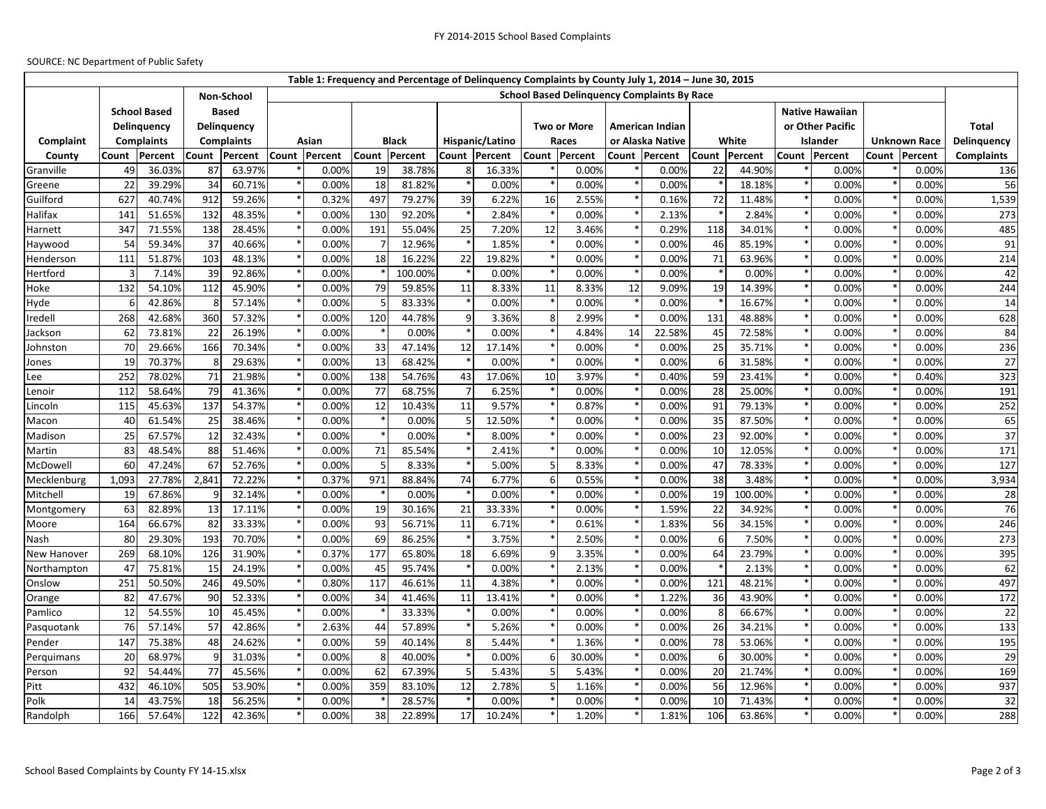## SOURCE: NC Department of Public Safety

|                    |                                    |        |                             |                                                                  |       |               |                 |               |                 |               |                    |        |                        | Table 1: Frequency and Percentage of Delinquency Complaints by County July 1, 2014 - June 30, 2015 |               |         |                        |                  |                     |               |                   |
|--------------------|------------------------------------|--------|-----------------------------|------------------------------------------------------------------|-------|---------------|-----------------|---------------|-----------------|---------------|--------------------|--------|------------------------|----------------------------------------------------------------------------------------------------|---------------|---------|------------------------|------------------|---------------------|---------------|-------------------|
|                    |                                    |        |                             | <b>School Based Delinguency Complaints By Race</b><br>Non-School |       |               |                 |               |                 |               |                    |        |                        |                                                                                                    |               |         |                        |                  |                     |               |                   |
|                    | <b>School Based</b><br>Delinguency |        | <b>Based</b><br>Delinguency |                                                                  |       |               |                 |               |                 |               |                    |        |                        |                                                                                                    |               |         | <b>Native Hawaiian</b> |                  |                     |               |                   |
|                    |                                    |        |                             |                                                                  |       |               |                 |               |                 |               | <b>Two or More</b> |        | <b>American Indian</b> |                                                                                                    |               |         |                        | or Other Pacific |                     |               | <b>Total</b>      |
| Complaint          | <b>Complaints</b>                  |        | <b>Complaints</b>           |                                                                  | Asian |               | <b>Black</b>    |               | Hispanic/Latino |               | Races              |        | or Alaska Native       |                                                                                                    | White         |         |                        | Islander         | <b>Unknown Race</b> |               | Delinquency       |
| County             | Count<br>Percent                   |        | Count<br>Percent            |                                                                  |       | Count Percent |                 | Count Percent |                 | Count Percent | Count Percent      |        |                        | Count Percent                                                                                      | Count Percent |         |                        | Count Percent    |                     | Count Percent | <b>Complaints</b> |
| Granville          | 49                                 | 36.03% | 87                          | 63.97%                                                           |       | 0.00%         | 19              | 38.78%        | 8               | 16.33%        |                    | 0.00%  |                        | 0.00%                                                                                              | 22            | 44.90%  |                        | 0.00%            |                     | 0.00%         | 136               |
| Greene             | 22                                 | 39.29% | 34                          | 60.71%                                                           |       | 0.00%         | 18              | 81.82%        |                 | 0.00%         |                    | 0.00%  |                        | 0.00%                                                                                              |               | 18.18%  |                        | 0.00%            |                     | 0.00%         | 56                |
| Guilford           | 627                                | 40.74% | 912                         | 59.26%                                                           |       | 0.32%         | 497             | 79.27%        | 39              | 6.22%         | 16                 | 2.55%  |                        | 0.16%                                                                                              | 72            | 11.48%  |                        | 0.00%            |                     | 0.00%         | 1,539             |
| Halifax            | 141                                | 51.65% | 132                         | 48.35%                                                           |       | 0.00%         | 13 <sub>C</sub> | 92.20%        |                 | 2.84%         |                    | 0.00%  |                        | 2.13%                                                                                              |               | 2.84%   |                        | 0.00%            |                     | 0.00%         | 273               |
| Harnett            | 347                                | 71.55% | 138                         | 28.45%                                                           |       | 0.00%         | 191             | 55.04%        | 25              | 7.20%         | 12                 | 3.46%  |                        | 0.29%                                                                                              | 118           | 34.01%  |                        | 0.00%            |                     | 0.00%         | 485               |
| Haywood            | 54                                 | 59.34% | 37                          | 40.66%                                                           |       | 0.00%         |                 | 12.96%        |                 | 1.85%         |                    | 0.00%  |                        | 0.00%                                                                                              | 46            | 85.19%  |                        | 0.00%            |                     | 0.00%         | 91                |
| Henderson          | 111                                | 51.87% | 103                         | 48.13%                                                           |       | 0.00%         | 18              | 16.22%        | 22              | 19.82%        |                    | 0.00%  |                        | 0.00%                                                                                              | 71            | 63.96%  |                        | 0.00%            |                     | 0.00%         | 214               |
| Hertford           |                                    | 7.14%  | 39                          | 92.86%                                                           |       | 0.00%         |                 | 100.00%       |                 | 0.00%         |                    | 0.00%  |                        | 0.00%                                                                                              |               | 0.00%   |                        | 0.00%            |                     | 0.00%         | 42                |
| Hoke               | 132                                | 54.10% | 112                         | 45.90%                                                           |       | 0.00%         | 79              | 59.85%        | 11              | 8.33%         | 11                 | 8.33%  | 12                     | 9.09%                                                                                              | 19            | 14.39%  |                        | 0.00%            |                     | 0.00%         | 244               |
| Hyde               |                                    | 42.86% |                             | 57.14%                                                           |       | 0.00%         |                 | 83.33%        |                 | 0.00%         |                    | 0.00%  |                        | 0.00%                                                                                              |               | 16.67%  |                        | 0.00%            |                     | 0.00%         | 14                |
| Iredell            | 268                                | 42.68% | 360                         | 57.32%                                                           |       | 0.00%         | 12C             | 44.78%        | q               | 3.36%         | 8                  | 2.99%  |                        | 0.00%                                                                                              | 131           | 48.88%  |                        | 0.00%            |                     | 0.00%         | 628               |
| Jackson            | 62                                 | 73.81% | 22                          | 26.19%                                                           |       | 0.00%         |                 | 0.00%         |                 | 0.00%         |                    | 4.84%  | 14                     | 22.58%                                                                                             | 45            | 72.58%  |                        | 0.00%            |                     | 0.00%         | 84                |
| Johnston           | 70                                 | 29.66% | 166                         | 70.34%                                                           |       | 0.00%         | 33              | 47.14%        | 12              | 17.14%        |                    | 0.00%  |                        | 0.00%                                                                                              | 25            | 35.71%  |                        | 0.00%            |                     | 0.00%         | 236               |
| Jones              | 19                                 | 70.37% |                             | 29.63%                                                           |       | 0.00%         | 13              | 68.42%        |                 | 0.00%         |                    | 0.00%  |                        | 0.00%                                                                                              | 6             | 31.58%  |                        | 0.00%            |                     | 0.00%         | 27                |
| Lee                | 252                                | 78.02% | 71                          | 21.98%                                                           |       | 0.00%         | 138             | 54.76%        | 43              | 17.06%        | 10                 | 3.97%  |                        | 0.40%                                                                                              | 59            | 23.41%  |                        | 0.00%            |                     | 0.40%         | 323               |
| Lenoir             | 112                                | 58.64% | 79                          | 41.36%                                                           |       | 0.00%         | 77              | 68.75%        |                 | 6.25%         |                    | 0.00%  |                        | 0.00%                                                                                              | 28            | 25.00%  |                        | 0.00%            |                     | 0.00%         | 191               |
| Lincoln            | 115                                | 45.63% | 137                         | 54.37%                                                           |       | 0.00%         | 12              | 10.43%        | 11              | 9.57%         |                    | 0.87%  |                        | 0.00%                                                                                              | 91            | 79.13%  |                        | 0.00%            |                     | 0.00%         | 252               |
| Macon              | 40                                 | 61.54% | 25                          | 38.46%                                                           |       | 0.00%         |                 | 0.00%         |                 | 12.50%        |                    | 0.00%  |                        | 0.00%                                                                                              | 35            | 87.50%  |                        | 0.00%            |                     | 0.00%         | 65                |
| Madison            | 25                                 | 67.57% | 12                          | 32.43%                                                           |       | 0.00%         |                 | 0.00%         |                 | 8.00%         |                    | 0.00%  |                        | 0.00%                                                                                              | 23            | 92.00%  |                        | 0.00%            |                     | 0.00%         | 37                |
| Martin             | 83                                 | 48.54% | 88                          | 51.46%                                                           |       | 0.00%         | 71              | 85.54%        |                 | 2.41%         |                    | 0.00%  |                        | 0.00%                                                                                              | 10            | 12.05%  |                        | 0.00%            |                     | 0.00%         | 171               |
| McDowell           | 60                                 | 47.24% | 67                          | 52.76%                                                           |       | 0.00%         |                 | 8.33%         |                 | 5.00%         | 5                  | 8.33%  |                        | 0.00%                                                                                              | 47            | 78.33%  |                        | 0.00%            |                     | 0.00%         | 127               |
| Mecklenburg        | 1,093                              | 27.78% | 2.841                       | 72.22%                                                           |       | 0.37%         | 971             | 88.84%        | 74              | 6.77%         | 6                  | 0.55%  |                        | 0.00%                                                                                              | 38            | 3.48%   |                        | 0.00%            |                     | 0.00%         | 3,934             |
| Mitchell           | 19                                 | 67.86% |                             | 32.14%                                                           |       | 0.00%         |                 | 0.00%         |                 | 0.00%         |                    | 0.00%  |                        | 0.00%                                                                                              | 19            | 100.00% |                        | 0.00%            |                     | 0.00%         | 28                |
| Montgomery         | 63                                 | 82.89% | 13                          | 17.11%                                                           |       | 0.00%         | 19              | 30.16%        | 21              | 33.33%        |                    | 0.00%  |                        | 1.59%                                                                                              | 22            | 34.92%  |                        | 0.00%            |                     | 0.00%         | 76                |
| Moore              | 164                                | 66.67% | 82                          | 33.33%                                                           |       | 0.00%         | 93              | 56.71%        | 11              | 6.71%         |                    | 0.61%  |                        | 1.83%                                                                                              | 56            | 34.15%  |                        | 0.00%            |                     | 0.00%         | 246               |
| Nash               | 80                                 | 29.30% | 193                         | 70.70%                                                           |       | 0.00%         | 69              | 86.25%        |                 | 3.75%         |                    | 2.50%  |                        | 0.00%                                                                                              | 6             | 7.50%   |                        | 0.00%            |                     | 0.00%         | 273               |
| <b>New Hanover</b> | 269                                | 68.10% | 126                         | 31.90%                                                           |       | 0.37%         | 177             | 65.80%        | 18              | 6.69%         | 9                  | 3.35%  |                        | 0.00%                                                                                              | 64            | 23.79%  |                        | 0.00%            |                     | 0.00%         | 395               |
| Northampton        | 47                                 | 75.81% | 15                          | 24.19%                                                           |       | 0.00%         | 45              | 95.74%        |                 | 0.00%         |                    | 2.13%  |                        | 0.00%                                                                                              |               | 2.13%   |                        | 0.00%            |                     | 0.00%         | 62                |
| Onslow             | 251                                | 50.50% | 246                         | 49.50%                                                           |       | 0.80%         | 117             | 46.61%        | 11              | 4.38%         |                    | 0.00%  |                        | 0.00%                                                                                              | 121           | 48.21%  |                        | 0.00%            |                     | 0.00%         | 497               |
| Orange             | 82                                 | 47.67% | 90                          | 52.33%                                                           |       | 0.00%         | 34              | 41.46%        | 11              | 13.41%        |                    | 0.00%  |                        | 1.22%                                                                                              | 36            | 43.90%  |                        | 0.00%            |                     | 0.00%         | 172               |
| Pamlico            | 12                                 | 54.55% | 10                          | 45.45%                                                           |       | 0.00%         |                 | 33.33%        |                 | 0.00%         |                    | 0.00%  |                        | 0.00%                                                                                              | 8             | 66.67%  |                        | 0.00%            |                     | 0.00%         | 22                |
| Pasquotank         | -76                                | 57.14% | 57                          | 42.86%                                                           |       | 2.63%         | 44              | 57.89%        |                 | 5.26%         |                    | 0.00%  |                        | 0.00%                                                                                              | 26            | 34.21%  |                        | 0.00%            |                     | 0.00%         | 133               |
| Pender             | 147                                | 75.38% | 48                          | 24.62%                                                           |       | 0.00%         | <b>59</b>       | 40.14%        | 8               | 5.44%         |                    | 1.36%  |                        | 0.00%                                                                                              | 78            | 53.06%  |                        | 0.00%            |                     | 0.00%         | 195               |
| Perguimans         | 20                                 | 68.97% | q                           | 31.03%                                                           |       | 0.00%         | 8               | 40.00%        |                 | 0.00%         | 6                  | 30.00% |                        | 0.00%                                                                                              | 6             | 30.00%  |                        | 0.00%            |                     | 0.00%         | 29                |
| Person             | 92                                 | 54.44% | 77                          | 45.56%                                                           |       | 0.00%         | 62              | 67.39%        |                 | 5.43%         | 5                  | 5.43%  |                        | 0.00%                                                                                              | 20            | 21.74%  |                        | 0.00%            |                     | 0.00%         | 169               |
| Pitt               | 432                                | 46.10% | 505                         | 53.90%                                                           |       | 0.00%         | 359             | 83.10%        | 12              | 2.78%         | 5                  | 1.16%  |                        | 0.00%                                                                                              | 56            | 12.96%  |                        | 0.00%            |                     | 0.00%         | 937               |
| Polk               | 14                                 | 43.75% | 18                          | 56.25%                                                           |       | 0.00%         |                 | 28.57%        |                 | 0.00%         |                    | 0.00%  |                        | 0.00%                                                                                              | 10            | 71.43%  |                        | 0.00%            |                     | 0.00%         | 32                |
| Randolph           | 166                                | 57.64% | 122                         | 42.36%                                                           |       | 0.00%         | 38              | 22.89%        | 17              | 10.24%        |                    | 1.20%  |                        | 1.81%                                                                                              | 106           | 63.86%  |                        | 0.00%            |                     | 0.00%         | 288               |